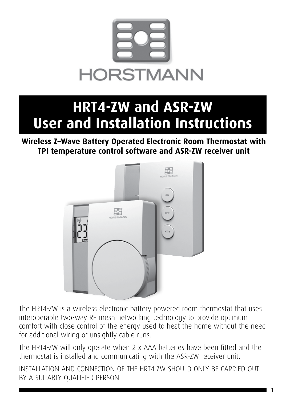

# **HRT4-ZW and ASR-ZW User and Installation Instructions**

### **Wireless Z–Wave Battery Operated Electronic Room Thermostat with TPI temperature control software and ASR-ZW receiver unit**



The HRT4-ZW is a wireless electronic battery powered room thermostat that uses interoperable two-way RF mesh networking technology to provide optimum comfort with close control of the energy used to heat the home without the need for additional wiring or unsightly cable runs.

The HRT4-ZW will only operate when 2 x AAA batteries have been fitted and the thermostat is installed and communicating with the ASR-ZW receiver unit.

INSTALLATION AND CONNECTION OF THE HRT4-ZW SHOULD ONLY BE CARRIED OUT BY A SUITABLY QUALIFIED PERSON.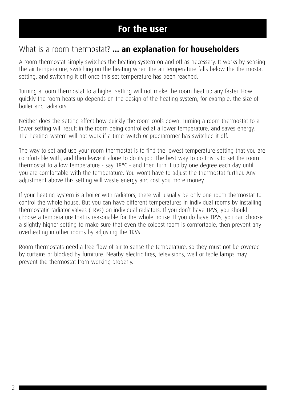### **For the user**

### What is a room thermostat? **... an explanation for householders**

A room thermostat simply switches the heating system on and off as necessary. It works by sensing the air temperature, switching on the heating when the air temperature falls below the thermostat setting, and switching it off once this set temperature has been reached.

Turning a room thermostat to a higher setting will not make the room heat up any faster. How quickly the room heats up depends on the design of the heating system, for example, the size of boiler and radiators.

Neither does the setting affect how quickly the room cools down. Turning a room thermostat to a lower setting will result in the room being controlled at a lower temperature, and saves energy. The heating system will not work if a time switch or programmer has switched it off.

The way to set and use your room thermostat is to find the lowest temperature setting that you are comfortable with, and then leave it alone to do its job. The best way to do this is to set the room thermostat to a low temperature - say 18°C - and then turn it up by one degree each day until you are comfortable with the temperature. You won't have to adjust the thermostat further. Any adjustment above this setting will waste energy and cost you more money.

If your heating system is a boiler with radiators, there will usually be only one room thermostat to control the whole house. But you can have different temperatures in individual rooms by installing thermostatic radiator valves (TRVs) on individual radiators. If you don't have TRVs, you should choose a temperature that is reasonable for the whole house. If you do have TRVs, you can choose a slightly higher setting to make sure that even the coldest room is comfortable, then prevent any overheating in other rooms by adjusting the TRVs.

Room thermostats need a free flow of air to sense the temperature, so they must not be covered by curtains or blocked by furniture. Nearby electric fires, televisions, wall or table lamps may prevent the thermostat from working properly.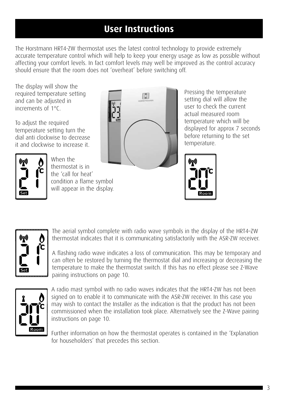## **User Instructions**

The Horstmann HRT4-ZW thermostat uses the latest control technology to provide extremely accurate temperature control which will help to keep your energy usage as low as possible without affecting your comfort levels. In fact comfort levels may well be improved as the control accuracy should ensure that the room does not 'overheat' before switching off.

The display will show the required temperature setting and can be adjusted in increments of 1°C.

To adjust the required temperature setting turn the dial anti clockwise to decrease it and clockwise to increase it.



When the thermostat is in the 'call for heat' condition a flame symbol will appear in the display.



Pressing the temperature setting dial will allow the user to check the current actual measured room temperature which will be displayed for approx 7 seconds before returning to the set temperature.



The aerial symbol complete with radio wave symbols in the display of the HRT4–ZW thermostat indicates that it is communicating satisfactorily with the ASR-ZW receiver.

A flashing radio wave indicates a loss of communication. This may be temporary and can often be restored by turning the thermostat dial and increasing or decreasing the temperature to make the thermostat switch. If this has no effect please see Z-Wave pairing instructions on page 10.



A radio mast symbol with no radio waves indicates that the HRT4-ZW has not been signed on to enable it to communicate with the ASR-ZW receiver. In this case you may wish to contact the Installer as the indication is that the product has not been commissioned when the installation took place. Alternatively see the Z-Wave pairing instructions on page 10.

Further information on how the thermostat operates is contained in the 'Explanation for householders' that precedes this section.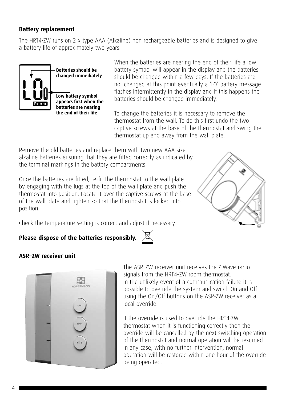#### **Battery replacement**

The HRT4-ZW runs on 2 x type AAA (Alkaline) non rechargeable batteries and is designed to give a battery life of approximately two years.



When the batteries are nearing the end of their life a low battery symbol will appear in the display and the batteries should be changed within a few days. If the batteries are not changed at this point eventually a 'LO' battery message flashes intermittently in the display and if this happens the batteries should be changed immediately.

To change the batteries it is necessary to remove the thermostat from the wall. To do this first undo the two captive screws at the base of the thermostat and swing the thermostat up and away from the wall plate.

Remove the old batteries and replace them with two new AAA size alkaline batteries ensuring that they are fitted correctly as indicated by the terminal markings in the battery compartments.

Once the batteries are fitted, re-fit the thermostat to the wall plate by engaging with the lugs at the top of the wall plate and push the thermostat into position. Locate it over the captive screws at the base of the wall plate and tighten so that the thermostat is locked into position.



Check the temperature setting is correct and adjust if necessary.

#### **Please dispose of the batteries responsibly.**



#### **ASR–ZW receiver unit**



The ASR–ZW receiver unit receives the Z-Wave radio signals from the HRT4–ZW room thermostat. In the unlikely event of a communication failure it is possible to override the system and switch On and Off using the On/Off buttons on the ASR-ZW receiver as a local override.

If the override is used to override the HRT4-ZW thermostat when it is functioning correctly then the override will be cancelled by the next switching operation of the thermostat and normal operation will be resumed. In any case, with no further intervention, normal operation will be restored within one hour of the override being operated.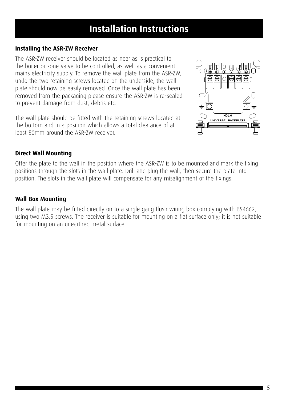## **Installation Instructions**

#### **Installing the ASR-ZW Receiver**

The ASR-ZW receiver should be located as near as is practical to the boiler or zone valve to be controlled, as well as a convenient mains electricity supply. To remove the wall plate from the ASR-ZW, undo the two retaining screws located on the underside, the wall plate should now be easily removed. Once the wall plate has been removed from the packaging please ensure the ASR-ZW is re-sealed to prevent damage from dust, debris etc.

The wall plate should be fitted with the retaining screws located at the bottom and in a position which allows a total clearance of at least 50mm around the ASR-ZW receiver.



#### **Direct Wall Mounting**

Offer the plate to the wall in the position where the ASR-ZW is to be mounted and mark the fixing positions through the slots in the wall plate. Drill and plug the wall, then secure the plate into position. The slots in the wall plate will compensate for any misalignment of the fixings.

#### **Wall Box Mounting**

The wall plate may be fitted directly on to a single gang flush wiring box complying with BS4662, using two M3.5 screws. The receiver is suitable for mounting on a flat surface only; it is not suitable for mounting on an unearthed metal surface.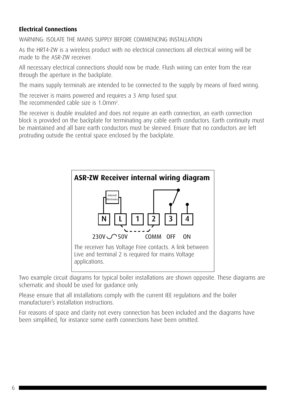#### **Electrical Connections**

WARNING: ISOLATE THE MAINS SUPPLY BEFORE COMMENCING INSTALLATION

As the HRT4-ZW is a wireless product with no electrical connections all electrical wiring will be made to the ASR-ZW receiver.

All necessary electrical connections should now be made. Flush wiring can enter from the rear through the aperture in the backplate.

The mains supply terminals are intended to be connected to the supply by means of fixed wiring.

The receiver is mains powered and requires a 3 Amp fused spur.

The recommended cable size is 1.Omm2 .

The receiver is double insulated and does not require an earth connection, an earth connection block is provided on the backplate for terminating any cable earth conductors. Earth continuity must be maintained and all bare earth conductors must be sleeved. Ensure that no conductors are left protruding outside the central space enclosed by the backplate.



Two example circuit diagrams for typical boiler installations are shown opposite. These diagrams are schematic and should be used for guidance only.

Please ensure that all installations comply with the current IEE regulations and the boiler manufacturer's installation instructions.

For reasons of space and clarity not every connection has been included and the diagrams have been simplified, for instance some earth connections have been omitted.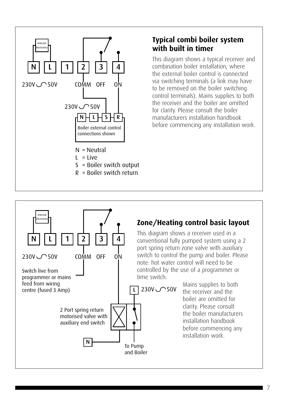

N | | L | | 1 | | 2 | | 3

COMM OFF ON

2 Port spring return motorised valve with auxiliary end switch

N

4

230V 50V

Internal Electronics

Switch live from programmer or mains feed from wiring centre (fused 3 Amp)

### **Typical combi boiler system with built in timer**

This diagram shows a typical receiver and combination boiler installation, where the external boiler control is connected via switching terminals (a link may have to be removed on the boiler switching control terminals). Mains supplies to both the receiver and the boiler are omitted for clarity. Please consult the boiler manufacturers installation handbook before commencing any installation work.

### **Zone/Heating control basic layout**

This diagram shows a receiver used in a conventional fully pumped system using a 2 port spring return zone valve with auxiliary switch to control the pump and boiler. Please note: hot water control will need to be controlled by the use of a programmer or time switch.

230V 50V

To Pump and Boiler

L

Mains supplies to both the receiver and the boiler are omitted for clarity. Please consult the boiler manufacturers installation handbook before commencing any installation work.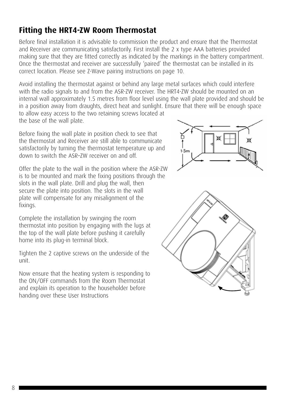#### 8

### **Fitting the HRT4-ZW Room Thermostat**

Before final installation it is advisable to commission the product and ensure that the Thermostat and Receiver are communicating satisfactorily. First install the 2 x type AAA batteries provided making sure that they are fitted correctly as indicated by the markings in the battery compartment. Once the thermostat and receiver are successfully 'paired' the thermostat can be installed in its correct location. Please see Z-Wave pairing instructions on page 10.

Avoid installing the thermostat against or behind any large metal surfaces which could interfere with the radio signals to and from the ASR-ZW receiver. The HRT4-ZW should be mounted on an internal wall approximately 1.5 metres from floor level using the wall plate provided and should be in a position away from draughts, direct heat and sunlight. Ensure that there will be enough space to allow easy access to the two retaining screws located at the base of the wall plate.

Before fixing the wall plate in position check to see that the thermostat and Receiver are still able to communicate satisfactorily by turning the thermostat temperature up and down to switch the ASR–ZW receiver on and off.

Offer the plate to the wall in the position where the ASR-ZW is to be mounted and mark the fixing positions through the slots in the wall plate. Drill and plug the wall, then secure the plate into position. The slots in the wall plate will compensate for any misalignment of the fixings.

Complete the installation by swinging the room thermostat into position by engaging with the lugs at the top of the wall plate before pushing it carefully home into its plug-in terminal block.

Tighten the 2 captive screws on the underside of the unit.

Now ensure that the heating system is responding to the ON/OFF commands from the Room Thermostat and explain its operation to the householder before handing over these User Instructions



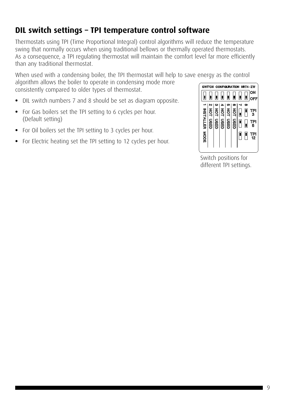### **DIL switch settings – TPI temperature control software**

Thermostats using TPI (Time Proportional Integral) control algorithms will reduce the temperature swing that normally occurs when using traditional bellows or thermally operated thermostats. As a consequence, a TPI regulating thermostat will maintain the comfort level far more efficiently than any traditional thermostat.

When used with a condensing boiler, the TPI thermostat will help to save energy as the control

algorithm allows the boiler to operate in condensing mode more consistently compared to older types of thermostat.

- DIL switch numbers 7 and 8 should be set as diagram opposite.
- For Gas boilers set the TPI setting to 6 cycles per hour. (Default setting)
- For Oil boilers set the TPI setting to 3 cycles per hour.
- For Electric heating set the TPI setting to 12 cycles per hour.



Switch positions for different TPI settings.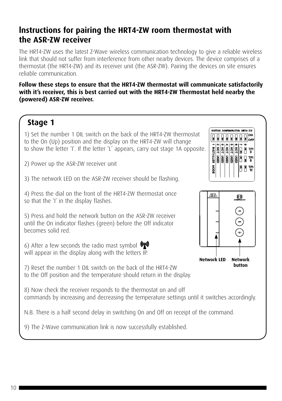### **lnstructions for pairing the HRT4-ZW room thermostat with the ASR-ZW receiver**

The HRT4-ZW uses the latest Z-Wave wireless communication technology to give a reliable wireless link that should not suffer from interference from other nearby devices. The device comprises of a thermostat (the HRT4-ZW) and its receiver unit (the ASR-ZW). Pairing the devices on site ensures reliable communication.

#### **Follow these steps to ensure that the HRT4-ZW thermostat will communicate satisfactorily with it's receiver, this is best carried out with the HRT4-ZW Thermostat held nearby the (powered) ASR-ZW receiver.**

### **Stage 1**

1) Set the number 1 DIL switch on the back of the HRT4-ZW thermostat to the On (Up) position and the display on the HRT4-ZW will change to show the letter 'I'. If the letter 'L' appears, carry out stage 1A opposite.

2) Power up the ASR-ZW receiver unit

3) The network LED on the ASR-ZW receiver should be flashing.

4) Press the dial on the front of the HRT4-ZW thermostat once so that the 'I' in the display flashes.

5) Press and hold the network button on the ASR-ZW receiver until the On indicator flashes (green) before the Off indicator becomes solid red.

6) After a few seconds the radio mast symbol  $\mathbb{Q}$ will appear in the display along with the letters IP.

7) Reset the number 1 DIL switch on the back of the HRT4-ZW to the Off position and the temperature should return in the display.

8) Now check the receiver responds to the thermostat on and off commands by increasing and decreasing the temperature settings until it switches accordingly.

N.B. There is a half second delay in switching On and Off on receipt of the command.

9) The Z-Wave communication link is now successfully established.



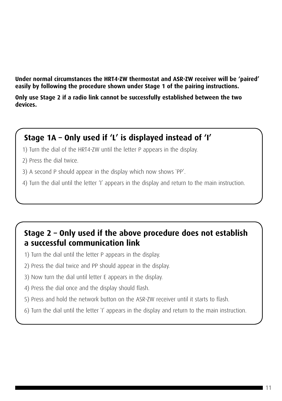**Under normal circumstances the HRT4-ZW thermostat and ASR-ZW receiver will be 'paired' easily by following the procedure shown under Stage 1 of the pairing instructions.**

**Only use Stage 2 if a radio link cannot be successfully established between the two devices.**

### **Stage 1A – Only used if 'L' is displayed instead of 'I'**

- 1) Turn the dial of the HRT4-ZW until the letter P appears in the display.
- 2) Press the dial twice.
- 3) A second P should appear in the display which now shows `PP'.
- 4) Turn the dial until the letter 'I' appears in the display and return to the main instruction.

### **Stage 2 – Only used if the above procedure does not establish a successful communication link**

- 1) Turn the dial until the letter P appears in the display.
- 2) Press the dial twice and PP should appear in the display.
- 3) Now turn the dial until letter E appears in the display.
- 4) Press the dial once and the display should flash.
- 5) Press and hold the network button on the ASR-ZW receiver until it starts to flash.
- 6) Turn the dial until the letter `I' appears in the display and return to the main instruction.